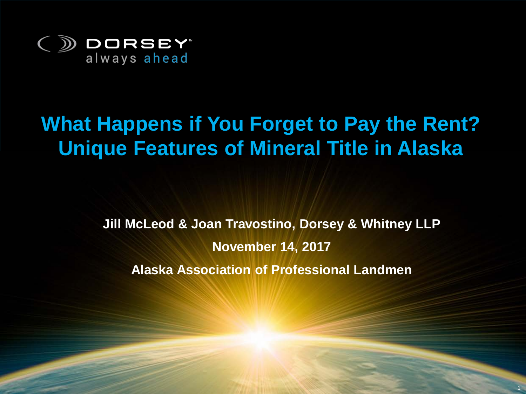

#### **What Happens if You Forget to Pay the Rent? Unique Features of Mineral Title in Alaska**

**Jill McLeod & Joan Travostino, Dorsey & Whitney LLP November 14, 2017 Alaska Association of Professional Landmen**

UNIQUE FEATURES OF MINERAL TITLE IN ALASKA

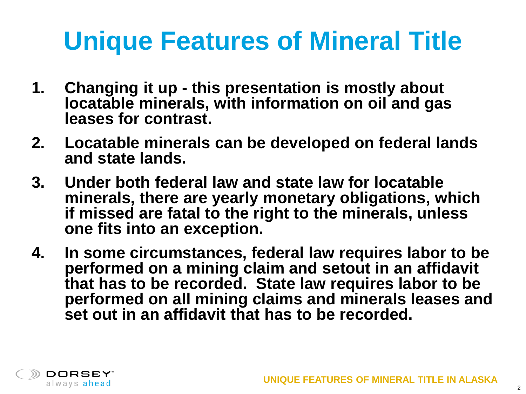- **1. Changing it up - this presentation is mostly about locatable minerals, with information on oil and gas leases for contrast.**
- **2. Locatable minerals can be developed on federal lands and state lands.**
- **3. Under both federal law and state law for locatable minerals, there are yearly monetary obligations, which if missed are fatal to the right to the minerals, unless one fits into an exception.**
- **4. In some circumstances, federal law requires labor to be performed on a mining claim and setout in an affidavit that has to be recorded. State law requires labor to be performed on all mining claims and minerals leases and set out in an affidavit that has to be recorded.**

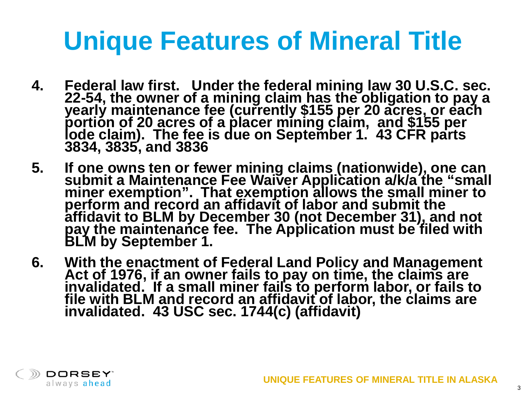- **4. Federal law first. Under the federal mining law 30 U.S.C. sec.**  22-54, the owner of a mining claim has the obligation to pay a<br>yearly maintenance fee (currently \$155 per 20 acres, or each<br>portion of 20 acres of a placer mining claim, and \$155 per<br>lode claim). The fee is due on Septembe
- **5. If one owns ten or fewer mining claims (nationwide), one can submit a Maintenance Fee Waiver Application a/k/a the "small miner exemption". That exemption allows the small miner to perform and record an affidavit of labor and submit the affidavit to BLM by December 30 (not December 31), and not pay the maintenance fee. The Application must be filed with BLM by September 1.**
- 6. With the enactment of Federal Land Policy and Management<br>Act of 1976, if an owner fails to pay on time, the claims are<br>invalidated. If a small miner fails to perform labor, or fails to<br>file with BLM and record an affida

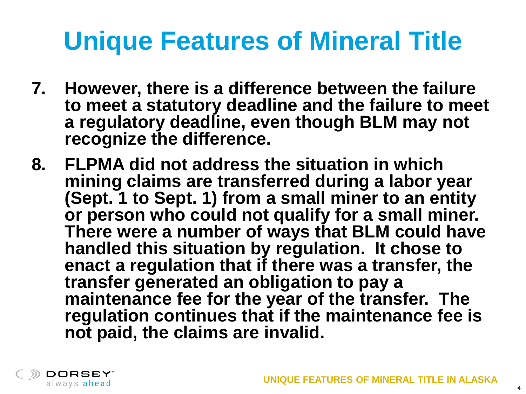- **7. However, there is a difference between the failure to meet a statutory deadline and the failure to meet a regulatory deadline, even though BLM may not recognize the difference.**
- **8. FLPMA did not address the situation in which mining claims are transferred during a labor year (Sept. 1 to Sept. 1) from a small miner to an entity or person who could not qualify for a small miner. There were a number of ways that BLM could have handled this situation by regulation. It chose to enact a regulation that if there was a transfer, the transfer generated an obligation to pay a maintenance fee for the year of the transfer. The regulation continues that if the maintenance fee is not paid, the claims are invalid.**



4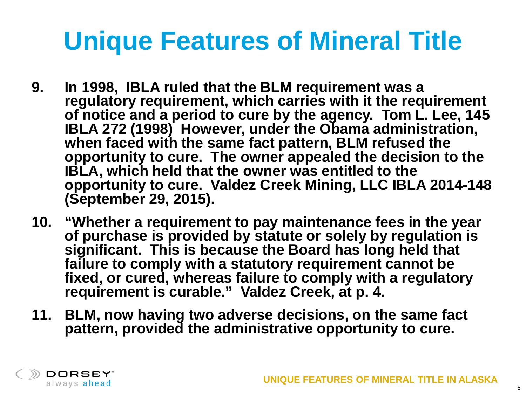- **9. In 1998, IBLA ruled that the BLM requirement was a regulatory requirement, which carries with it the requirement of notice and a period to cure by the agency. Tom L. Lee, 145 IBLA 272 (1998) However, under the Obama administration, when faced with the same fact pattern, BLM refused the opportunity to cure. The owner appealed the decision to the IBLA, which held that the owner was entitled to the opportunity to cure. Valdez Creek Mining, LLC IBLA 2014-148 (September 29, 2015).**
- **10. "Whether a requirement to pay maintenance fees in the year of purchase is provided by statute or solely by regulation is significant. This is because the Board has long held that failure to comply with a statutory requirement cannot be fixed, or cured, whereas failure to comply with a regulatory requirement is curable." Valdez Creek, at p. 4.**
- **11. BLM, now having two adverse decisions, on the same fact pattern, provided the administrative opportunity to cure.**

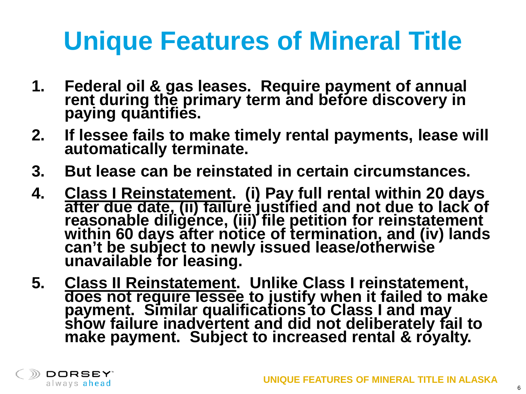- **1. Federal oil & gas leases. Require payment of annual rent during the primary term and before discovery in paying quantifies.**
- **2. If lessee fails to make timely rental payments, lease will automatically terminate.**
- **3. But lease can be reinstated in certain circumstances.**
- **4. Class I Reinstatement. (i) Pay full rental within 20 days after due date, (ii) failure justified and not due to lack of reasonable diligence, (iii) file petition for reinstatement within 60 days after notice of termination, and (iv) lands can't be subject to newly issued lease/otherwise unavailable for leasing.**
- **5.** Class II Reinstatement. Unlike Class I reinstatement,<br> does not require lessee to justify when it failed to make **payment. Similar qualifications to Class I and may show failure inadvertent and did not deliberately fail to**  make payment. Subject to increased rental & royalty.

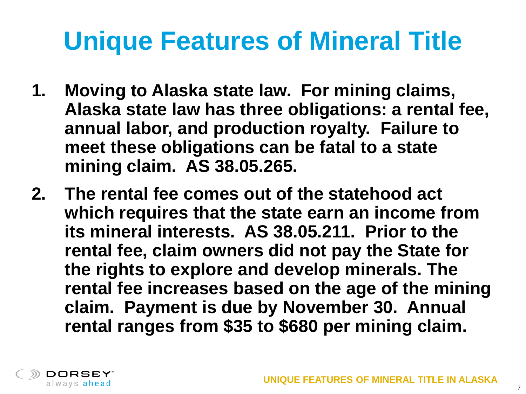- **1. Moving to Alaska state law. For mining claims, Alaska state law has three obligations: a rental fee, annual labor, and production royalty. Failure to meet these obligations can be fatal to a state mining claim. AS 38.05.265.**
- **2. The rental fee comes out of the statehood act which requires that the state earn an income from its mineral interests. AS 38.05.211. Prior to the rental fee, claim owners did not pay the State for the rights to explore and develop minerals. The rental fee increases based on the age of the mining claim. Payment is due by November 30. Annual rental ranges from \$35 to \$680 per mining claim.**

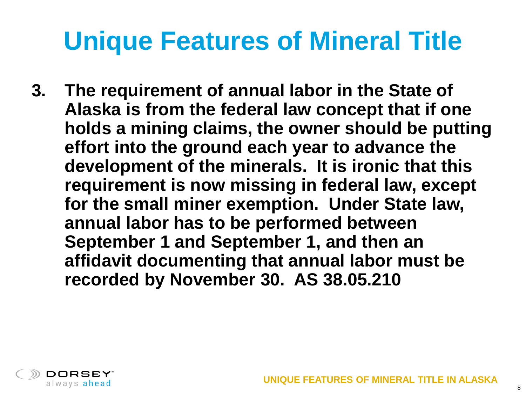**3. The requirement of annual labor in the State of Alaska is from the federal law concept that if one holds a mining claims, the owner should be putting effort into the ground each year to advance the development of the minerals. It is ironic that this requirement is now missing in federal law, except for the small miner exemption. Under State law, annual labor has to be performed between September 1 and September 1, and then an affidavit documenting that annual labor must be recorded by November 30. AS 38.05.210**

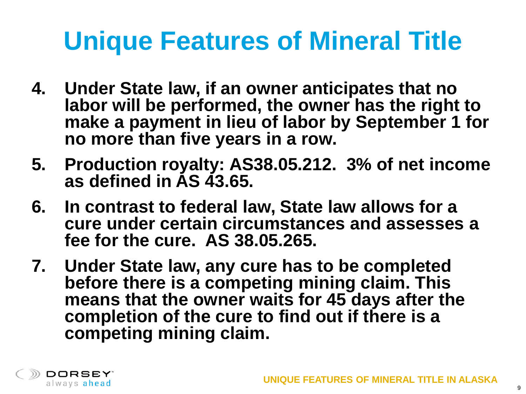- **4. Under State law, if an owner anticipates that no labor will be performed, the owner has the right to make a payment in lieu of labor by September 1 for no more than five years in a row.**
- **5. Production royalty: AS38.05.212. 3% of net income as defined in AS 43.65.**
- **6. In contrast to federal law, State law allows for a cure under certain circumstances and assesses a fee for the cure. AS 38.05.265.**
- **7. Under State law, any cure has to be completed before there is a competing mining claim. This means that the owner waits for 45 days after the completion of the cure to find out if there is a competing mining claim.**

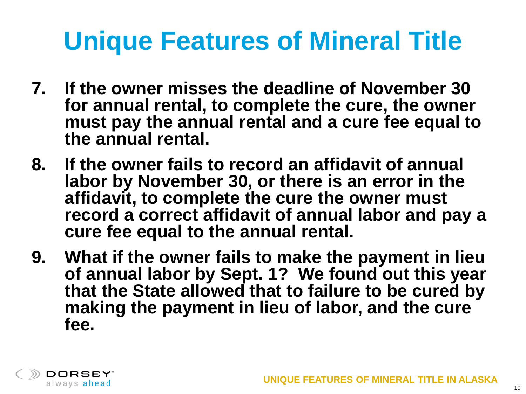- **7. If the owner misses the deadline of November 30 for annual rental, to complete the cure, the owner must pay the annual rental and a cure fee equal to the annual rental.**
- **8. If the owner fails to record an affidavit of annual labor by November 30, or there is an error in the affidavit, to complete the cure the owner must record a correct affidavit of annual labor and pay a cure fee equal to the annual rental.**
- **9. What if the owner fails to make the payment in lieu of annual labor by Sept. 1? We found out this year that the State allowed that to failure to be cured by making the payment in lieu of labor, and the cure fee.**

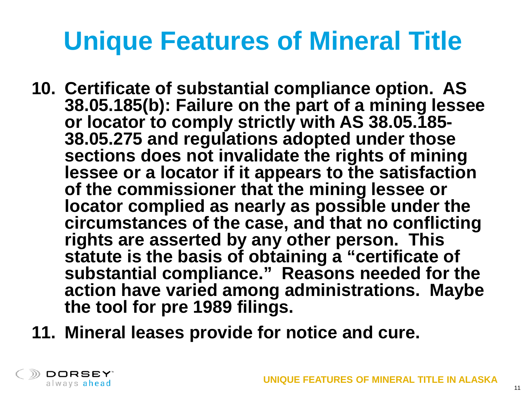- **10. Certificate of substantial compliance option. AS 38.05.185(b): Failure on the part of a mining lessee or locator to comply strictly with AS 38.05.185- 38.05.275 and regulations adopted under those sections does not invalidate the rights of mining lessee or a locator if it appears to the satisfaction of the commissioner that the mining lessee or locator complied as nearly as possible under the circumstances of the case, and that no conflicting rights are asserted by any other person. This statute is the basis of obtaining a "certificate of substantial compliance." Reasons needed for the action have varied among administrations. Maybe the tool for pre 1989 filings.**
- **11. Mineral leases provide for notice and cure.**

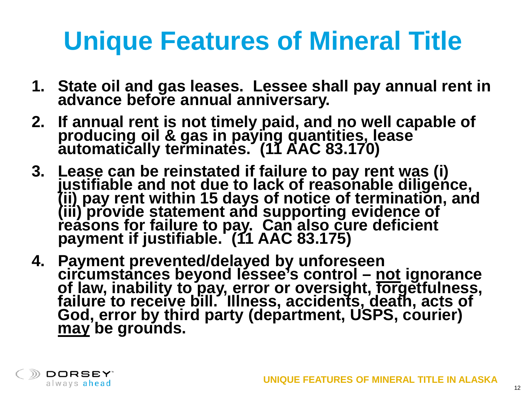- **1. State oil and gas leases. Lessee shall pay annual rent in advance before annual anniversary.**
- **2. If annual rent is not timely paid, and no well capable of producing oil & gas in paying quantities, lease automatically terminates. (11 AAC 83.170)**
- **3. Lease can be reinstated if failure to pay rent was (i) justifiable and not due to lack of reasonable diligence, (ii) pay rent within 15 days of notice of termination, and (iii) provide statement and supporting evidence of reasons for failure to pay. Can also cure deficient payment if justifiable. (11 AAC 83.175)**
- **4. Payment prevented/delayed by unforeseen**  circ̃umstances beyond léssee's control – <u>not</u> ignorance<br>of law, inability to <u>pay, e</u>rror or oversight, forgetfulness, **failure to receive bill. Illness, accidents, death, acts of God, error by third party (department, USPS, courier) may be grounds.**